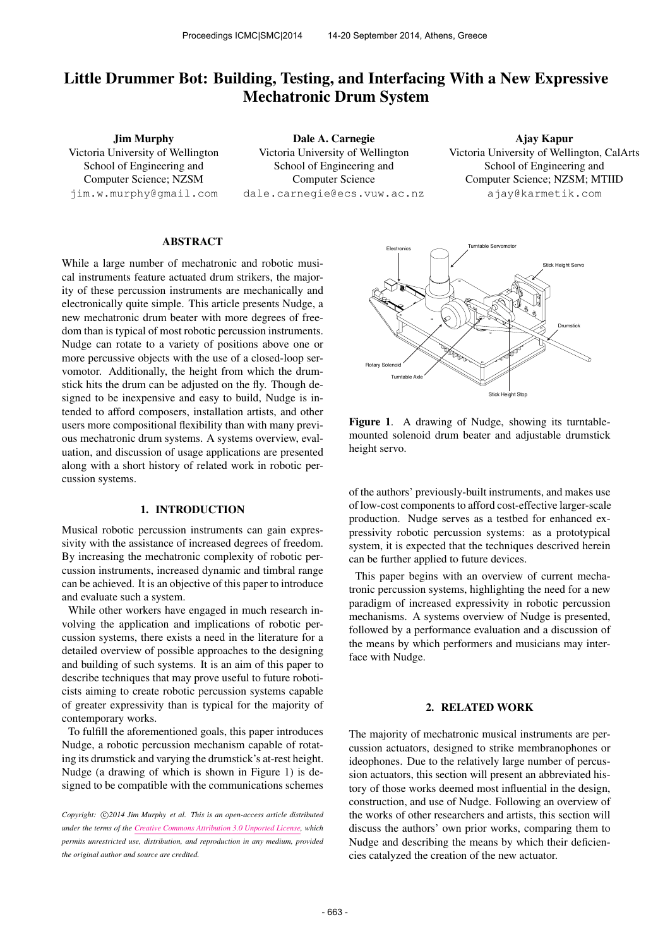# Little Drummer Bot: Building, Testing, and Interfacing With a New Expressive Mechatronic Drum System

Jim Murphy Victoria University of Wellington School of Engineering and Computer Science; NZSM [jim.w.murphy@gmail.com](mailto:jim.w.murphy@gmail.com)

Dale A. Carnegie Victoria University of Wellington School of Engineering and Computer Science [dale.carnegie@ecs.vuw.ac.nz](mailto:dale.carnegie@ecs.vuw.ac.nz)

Ajay Kapur Victoria University of Wellington, CalArts School of Engineering and Computer Science; NZSM; MTIID [ajay@karmetik.com](mailto:ajay@karmetik.com)

## ABSTRACT

While a large number of mechatronic and robotic musical instruments feature actuated drum strikers, the majority of these percussion instruments are mechanically and electronically quite simple. This article presents Nudge, a new mechatronic drum beater with more degrees of freedom than is typical of most robotic percussion instruments. Nudge can rotate to a variety of positions above one or more percussive objects with the use of a closed-loop servomotor. Additionally, the height from which the drumstick hits the drum can be adjusted on the fly. Though designed to be inexpensive and easy to build, Nudge is intended to afford composers, installation artists, and other users more compositional flexibility than with many previous mechatronic drum systems. A systems overview, evaluation, and discussion of usage applications are presented along with a short history of related work in robotic percussion systems.

#### 1. INTRODUCTION

Musical robotic percussion instruments can gain expressivity with the assistance of increased degrees of freedom. By increasing the mechatronic complexity of robotic percussion instruments, increased dynamic and timbral range can be achieved. It is an objective of this paper to introduce and evaluate such a system.

While other workers have engaged in much research involving the application and implications of robotic percussion systems, there exists a need in the literature for a detailed overview of possible approaches to the designing and building of such systems. It is an aim of this paper to describe techniques that may prove useful to future roboticists aiming to create robotic percussion systems capable of greater expressivity than is typical for the majority of contemporary works.

To fulfill the aforementioned goals, this paper introduces Nudge, a robotic percussion mechanism capable of rotating its drumstick and varying the drumstick's at-rest height. Nudge (a drawing of which is shown in Figure 1) is designed to be compatible with the communications schemes



Figure 1. A drawing of Nudge, showing its turntablemounted solenoid drum beater and adjustable drumstick height servo.

of the authors' previously-built instruments, and makes use of low-cost components to afford cost-effective larger-scale production. Nudge serves as a testbed for enhanced expressivity robotic percussion systems: as a prototypical system, it is expected that the techniques descrived herein can be further applied to future devices.

This paper begins with an overview of current mechatronic percussion systems, highlighting the need for a new paradigm of increased expressivity in robotic percussion mechanisms. A systems overview of Nudge is presented, followed by a performance evaluation and a discussion of the means by which performers and musicians may interface with Nudge.

## 2. RELATED WORK

The majority of mechatronic musical instruments are percussion actuators, designed to strike membranophones or ideophones. Due to the relatively large number of percussion actuators, this section will present an abbreviated history of those works deemed most influential in the design, construction, and use of Nudge. Following an overview of the works of other researchers and artists, this section will discuss the authors' own prior works, comparing them to Nudge and describing the means by which their deficiencies catalyzed the creation of the new actuator.

Copyright:  $\bigcirc$ 2014 Jim Murphy et al. This is an open-access article distributed *under the terms of the [Creative Commons Attribution 3.0 Unported License,](http://creativecommons.org/licenses/by/3.0/) which permits unrestricted use, distribution, and reproduction in any medium, provided the original author and source are credited.*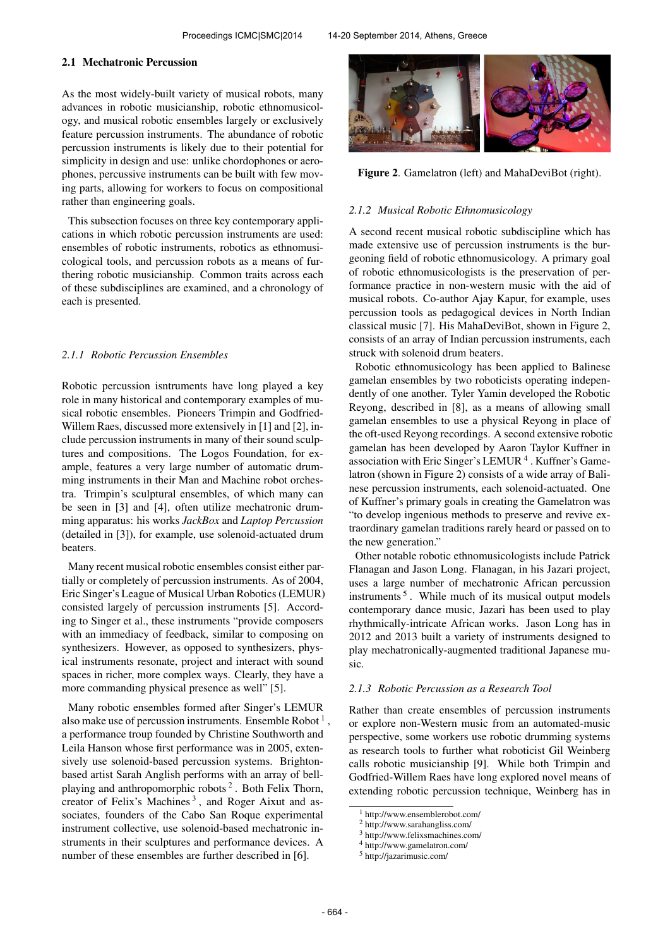#### 2.1 Mechatronic Percussion

As the most widely-built variety of musical robots, many advances in robotic musicianship, robotic ethnomusicology, and musical robotic ensembles largely or exclusively feature percussion instruments. The abundance of robotic percussion instruments is likely due to their potential for simplicity in design and use: unlike chordophones or aerophones, percussive instruments can be built with few moving parts, allowing for workers to focus on compositional rather than engineering goals.

This subsection focuses on three key contemporary applications in which robotic percussion instruments are used: ensembles of robotic instruments, robotics as ethnomusicological tools, and percussion robots as a means of furthering robotic musicianship. Common traits across each of these subdisciplines are examined, and a chronology of each is presented.

#### *2.1.1 Robotic Percussion Ensembles*

Robotic percussion isntruments have long played a key role in many historical and contemporary examples of musical robotic ensembles. Pioneers Trimpin and Godfried-Willem Raes, discussed more extensively in [1] and [2], include percussion instruments in many of their sound sculptures and compositions. The Logos Foundation, for example, features a very large number of automatic drumming instruments in their Man and Machine robot orchestra. Trimpin's sculptural ensembles, of which many can be seen in [3] and [4], often utilize mechatronic drumming apparatus: his works *JackBox* and *Laptop Percussion* (detailed in [3]), for example, use solenoid-actuated drum beaters.

Many recent musical robotic ensembles consist either partially or completely of percussion instruments. As of 2004, Eric Singer's League of Musical Urban Robotics (LEMUR) consisted largely of percussion instruments [5]. According to Singer et al., these instruments "provide composers with an immediacy of feedback, similar to composing on synthesizers. However, as opposed to synthesizers, physical instruments resonate, project and interact with sound spaces in richer, more complex ways. Clearly, they have a more commanding physical presence as well" [5].

Many robotic ensembles formed after Singer's LEMUR also make use of percussion instruments. Ensemble Robot  $<sup>1</sup>$ ,</sup> a performance troup founded by Christine Southworth and Leila Hanson whose first performance was in 2005, extensively use solenoid-based percussion systems. Brightonbased artist Sarah Anglish performs with an array of bellplaying and anthropomorphic robots<sup>2</sup>. Both Felix Thorn, creator of Felix's Machines<sup>3</sup>, and Roger Aixut and associates, founders of the Cabo San Roque experimental instrument collective, use solenoid-based mechatronic instruments in their sculptures and performance devices. A number of these ensembles are further described in [6].



Figure 2. Gamelatron (left) and MahaDeviBot (right).

#### *2.1.2 Musical Robotic Ethnomusicology*

A second recent musical robotic subdiscipline which has made extensive use of percussion instruments is the burgeoning field of robotic ethnomusicology. A primary goal of robotic ethnomusicologists is the preservation of performance practice in non-western music with the aid of musical robots. Co-author Ajay Kapur, for example, uses percussion tools as pedagogical devices in North Indian classical music [7]. His MahaDeviBot, shown in Figure 2, consists of an array of Indian percussion instruments, each struck with solenoid drum beaters.

Robotic ethnomusicology has been applied to Balinese gamelan ensembles by two roboticists operating independently of one another. Tyler Yamin developed the Robotic Reyong, described in [8], as a means of allowing small gamelan ensembles to use a physical Reyong in place of the oft-used Reyong recordings. A second extensive robotic gamelan has been developed by Aaron Taylor Kuffner in association with Eric Singer's LEMUR<sup>4</sup>. Kuffner's Gamelatron (shown in Figure 2) consists of a wide array of Balinese percussion instruments, each solenoid-actuated. One of Kuffner's primary goals in creating the Gamelatron was "to develop ingenious methods to preserve and revive extraordinary gamelan traditions rarely heard or passed on to the new generation."

Other notable robotic ethnomusicologists include Patrick Flanagan and Jason Long. Flanagan, in his Jazari project, uses a large number of mechatronic African percussion instruments<sup>5</sup>. While much of its musical output models contemporary dance music, Jazari has been used to play rhythmically-intricate African works. Jason Long has in 2012 and 2013 built a variety of instruments designed to play mechatronically-augmented traditional Japanese music.

## *2.1.3 Robotic Percussion as a Research Tool*

Rather than create ensembles of percussion instruments or explore non-Western music from an automated-music perspective, some workers use robotic drumming systems as research tools to further what roboticist Gil Weinberg calls robotic musicianship [9]. While both Trimpin and Godfried-Willem Raes have long explored novel means of extending robotic percussion technique, Weinberg has in

<sup>1</sup> http://www.ensemblerobot.com/

<sup>2</sup> http://www.sarahangliss.com/

<sup>3</sup> http://www.felixsmachines.com/

<sup>4</sup> http://www.gamelatron.com/

<sup>5</sup> http://jazarimusic.com/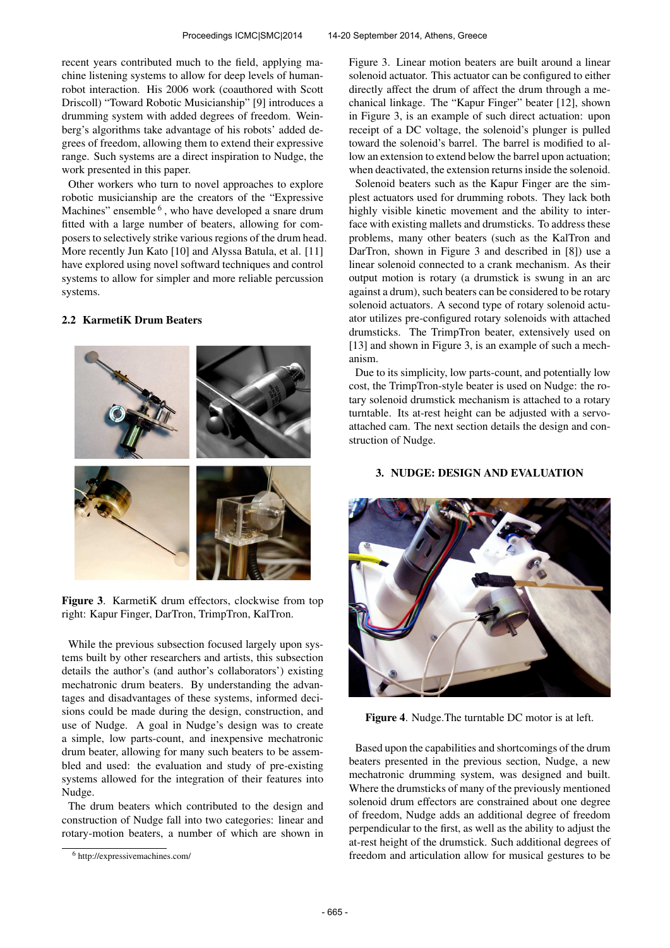recent years contributed much to the field, applying machine listening systems to allow for deep levels of humanrobot interaction. His 2006 work (coauthored with Scott Driscoll) "Toward Robotic Musicianship" [9] introduces a drumming system with added degrees of freedom. Weinberg's algorithms take advantage of his robots' added degrees of freedom, allowing them to extend their expressive range. Such systems are a direct inspiration to Nudge, the work presented in this paper.

Other workers who turn to novel approaches to explore robotic musicianship are the creators of the "Expressive Machines" ensemble <sup>6</sup>, who have developed a snare drum fitted with a large number of beaters, allowing for composers to selectively strike various regions of the drum head. More recently Jun Kato [10] and Alyssa Batula, et al. [11] have explored using novel softward techniques and control systems to allow for simpler and more reliable percussion systems.

## 2.2 KarmetiK Drum Beaters



Figure 3. KarmetiK drum effectors, clockwise from top right: Kapur Finger, DarTron, TrimpTron, KalTron.

While the previous subsection focused largely upon systems built by other researchers and artists, this subsection details the author's (and author's collaborators') existing mechatronic drum beaters. By understanding the advantages and disadvantages of these systems, informed decisions could be made during the design, construction, and use of Nudge. A goal in Nudge's design was to create a simple, low parts-count, and inexpensive mechatronic drum beater, allowing for many such beaters to be assembled and used: the evaluation and study of pre-existing systems allowed for the integration of their features into Nudge.

The drum beaters which contributed to the design and construction of Nudge fall into two categories: linear and rotary-motion beaters, a number of which are shown in Figure 3. Linear motion beaters are built around a linear solenoid actuator. This actuator can be configured to either directly affect the drum of affect the drum through a mechanical linkage. The "Kapur Finger" beater [12], shown in Figure 3, is an example of such direct actuation: upon receipt of a DC voltage, the solenoid's plunger is pulled toward the solenoid's barrel. The barrel is modified to allow an extension to extend below the barrel upon actuation; when deactivated, the extension returns inside the solenoid.

Solenoid beaters such as the Kapur Finger are the simplest actuators used for drumming robots. They lack both highly visible kinetic movement and the ability to interface with existing mallets and drumsticks. To address these problems, many other beaters (such as the KalTron and DarTron, shown in Figure 3 and described in [8]) use a linear solenoid connected to a crank mechanism. As their output motion is rotary (a drumstick is swung in an arc against a drum), such beaters can be considered to be rotary solenoid actuators. A second type of rotary solenoid actuator utilizes pre-configured rotary solenoids with attached drumsticks. The TrimpTron beater, extensively used on [13] and shown in Figure 3, is an example of such a mechanism.

Due to its simplicity, low parts-count, and potentially low cost, the TrimpTron-style beater is used on Nudge: the rotary solenoid drumstick mechanism is attached to a rotary turntable. Its at-rest height can be adjusted with a servoattached cam. The next section details the design and construction of Nudge.

#### 3. NUDGE: DESIGN AND EVALUATION



Figure 4. Nudge.The turntable DC motor is at left.

Based upon the capabilities and shortcomings of the drum beaters presented in the previous section, Nudge, a new mechatronic drumming system, was designed and built. Where the drumsticks of many of the previously mentioned solenoid drum effectors are constrained about one degree of freedom, Nudge adds an additional degree of freedom perpendicular to the first, as well as the ability to adjust the at-rest height of the drumstick. Such additional degrees of freedom and articulation allow for musical gestures to be

<sup>6</sup> http://expressivemachines.com/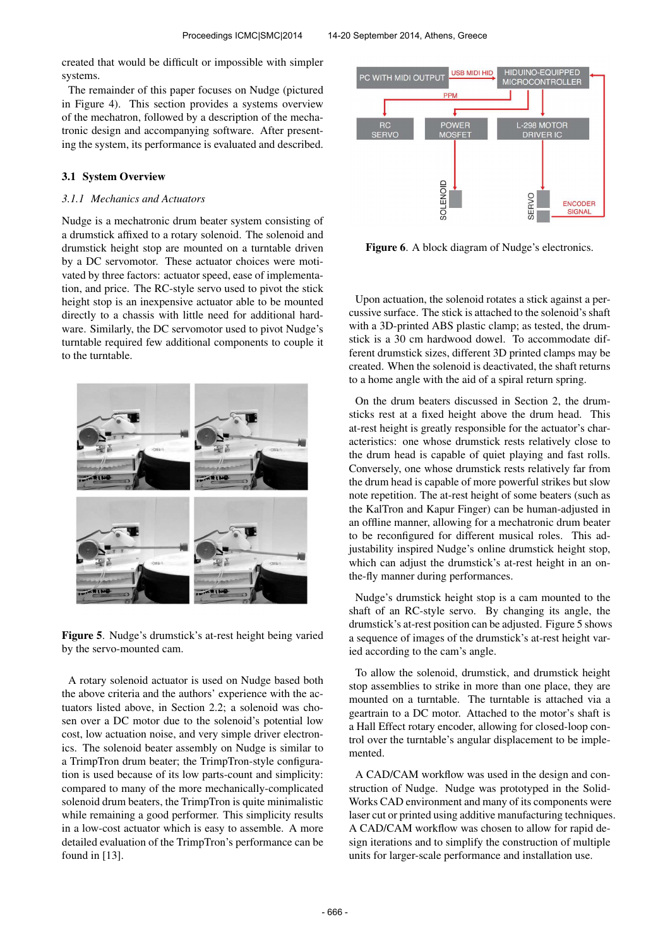created that would be difficult or impossible with simpler systems.

The remainder of this paper focuses on Nudge (pictured in Figure 4). This section provides a systems overview of the mechatron, followed by a description of the mechatronic design and accompanying software. After presenting the system, its performance is evaluated and described.

## 3.1 System Overview

#### *3.1.1 Mechanics and Actuators*

Nudge is a mechatronic drum beater system consisting of a drumstick affixed to a rotary solenoid. The solenoid and drumstick height stop are mounted on a turntable driven by a DC servomotor. These actuator choices were motivated by three factors: actuator speed, ease of implementation, and price. The RC-style servo used to pivot the stick height stop is an inexpensive actuator able to be mounted directly to a chassis with little need for additional hardware. Similarly, the DC servomotor used to pivot Nudge's turntable required few additional components to couple it to the turntable.



Figure 5. Nudge's drumstick's at-rest height being varied by the servo-mounted cam.

A rotary solenoid actuator is used on Nudge based both the above criteria and the authors' experience with the actuators listed above, in Section 2.2; a solenoid was chosen over a DC motor due to the solenoid's potential low cost, low actuation noise, and very simple driver electronics. The solenoid beater assembly on Nudge is similar to a TrimpTron drum beater; the TrimpTron-style configuration is used because of its low parts-count and simplicity: compared to many of the more mechanically-complicated solenoid drum beaters, the TrimpTron is quite minimalistic while remaining a good performer. This simplicity results in a low-cost actuator which is easy to assemble. A more detailed evaluation of the TrimpTron's performance can be found in [13].



Figure 6. A block diagram of Nudge's electronics.

Upon actuation, the solenoid rotates a stick against a percussive surface. The stick is attached to the solenoid's shaft with a 3D-printed ABS plastic clamp; as tested, the drumstick is a 30 cm hardwood dowel. To accommodate different drumstick sizes, different 3D printed clamps may be created. When the solenoid is deactivated, the shaft returns to a home angle with the aid of a spiral return spring.

On the drum beaters discussed in Section 2, the drumsticks rest at a fixed height above the drum head. This at-rest height is greatly responsible for the actuator's characteristics: one whose drumstick rests relatively close to the drum head is capable of quiet playing and fast rolls. Conversely, one whose drumstick rests relatively far from the drum head is capable of more powerful strikes but slow note repetition. The at-rest height of some beaters (such as the KalTron and Kapur Finger) can be human-adjusted in an offline manner, allowing for a mechatronic drum beater to be reconfigured for different musical roles. This adjustability inspired Nudge's online drumstick height stop, which can adjust the drumstick's at-rest height in an onthe-fly manner during performances.

Nudge's drumstick height stop is a cam mounted to the shaft of an RC-style servo. By changing its angle, the drumstick's at-rest position can be adjusted. Figure 5 shows a sequence of images of the drumstick's at-rest height varied according to the cam's angle.

To allow the solenoid, drumstick, and drumstick height stop assemblies to strike in more than one place, they are mounted on a turntable. The turntable is attached via a geartrain to a DC motor. Attached to the motor's shaft is a Hall Effect rotary encoder, allowing for closed-loop control over the turntable's angular displacement to be implemented.

A CAD/CAM workflow was used in the design and construction of Nudge. Nudge was prototyped in the Solid-Works CAD environment and many of its components were laser cut or printed using additive manufacturing techniques. A CAD/CAM workflow was chosen to allow for rapid design iterations and to simplify the construction of multiple units for larger-scale performance and installation use.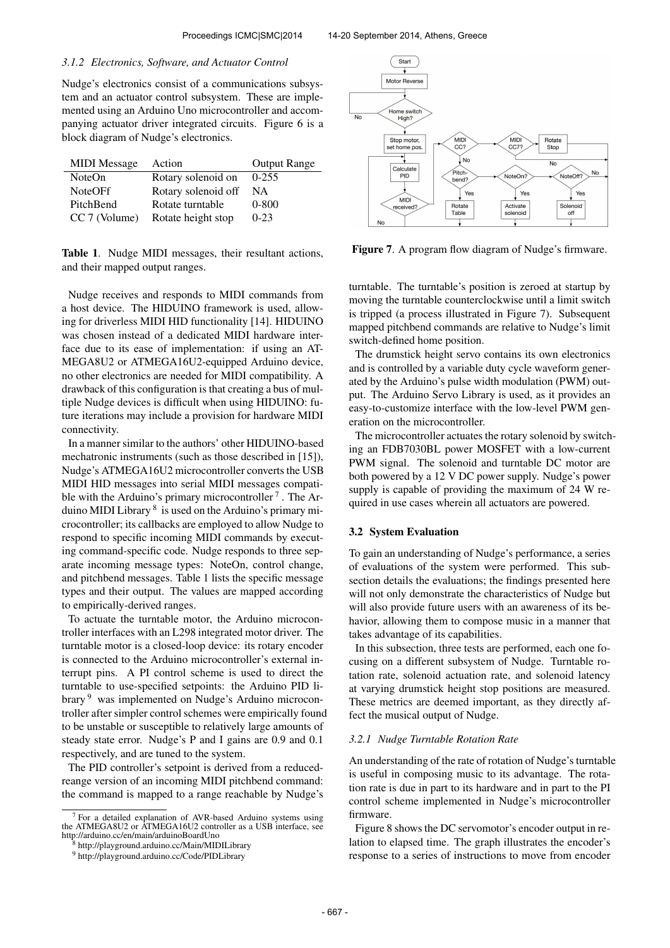#### *3.1.2 Electronics, Software, and Actuator Control*

Nudge's electronics consist of a communications subsystem and an actuator control subsystem. These are implemented using an Arduino Uno microcontroller and accompanying actuator driver integrated circuits. Figure 6 is a block diagram of Nudge's electronics.

| <b>MIDI</b> Message | Action              | <b>Output Range</b> |
|---------------------|---------------------|---------------------|
| <b>NoteOn</b>       | Rotary solenoid on  | $0-255$             |
| <b>NoteOFf</b>      | Rotary solenoid off | NA                  |
| PitchBend           | Rotate turntable    | $0 - 800$           |
| CC 7 (Volume)       | Rotate height stop  | $0 - 23$            |

Table 1. Nudge MIDI messages, their resultant actions, and their mapped output ranges.

Nudge receives and responds to MIDI commands from a host device. The HIDUINO framework is used, allowing for driverless MIDI HID functionality [14]. HIDUINO was chosen instead of a dedicated MIDI hardware interface due to its ease of implementation: if using an AT-MEGA8U2 or ATMEGA16U2-equipped Arduino device, no other electronics are needed for MIDI compatibility. A drawback of this configuration is that creating a bus of multiple Nudge devices is difficult when using HIDUINO: future iterations may include a provision for hardware MIDI connectivity.

In a manner similar to the authors' other HIDUINO-based mechatronic instruments (such as those described in [15]), Nudge's ATMEGA16U2 microcontroller converts the USB MIDI HID messages into serial MIDI messages compatible with the Arduino's primary microcontroller<sup>7</sup>. The Arduino MIDI Library <sup>8</sup> is used on the Arduino's primary microcontroller; its callbacks are employed to allow Nudge to respond to specific incoming MIDI commands by executing command-specific code. Nudge responds to three separate incoming message types: NoteOn, control change, and pitchbend messages. Table 1 lists the specific message types and their output. The values are mapped according to empirically-derived ranges.

To actuate the turntable motor, the Arduino microcontroller interfaces with an L298 integrated motor driver. The turntable motor is a closed-loop device: its rotary encoder is connected to the Arduino microcontroller's external interrupt pins. A PI control scheme is used to direct the turntable to use-specified setpoints: the Arduino PID library <sup>9</sup> was implemented on Nudge's Arduino microcontroller after simpler control schemes were empirically found to be unstable or susceptible to relatively large amounts of steady state error. Nudge's P and I gains are 0.9 and 0.1 respectively, and are tuned to the system.

The PID controller's setpoint is derived from a reducedreange version of an incoming MIDI pitchbend command: the command is mapped to a range reachable by Nudge's



Figure 7. A program flow diagram of Nudge's firmware.

turntable. The turntable's position is zeroed at startup by moving the turntable counterclockwise until a limit switch is tripped (a process illustrated in Figure 7). Subsequent mapped pitchbend commands are relative to Nudge's limit switch-defined home position.

The drumstick height servo contains its own electronics and is controlled by a variable duty cycle waveform generated by the Arduino's pulse width modulation (PWM) output. The Arduino Servo Library is used, as it provides an easy-to-customize interface with the low-level PWM generation on the microcontroller.

The microcontroller actuates the rotary solenoid by switching an FDB7030BL power MOSFET with a low-current PWM signal. The solenoid and turntable DC motor are both powered by a 12 V DC power supply. Nudge's power supply is capable of providing the maximum of 24 W required in use cases wherein all actuators are powered.

#### 3.2 System Evaluation

To gain an understanding of Nudge's performance, a series of evaluations of the system were performed. This subsection details the evaluations; the findings presented here will not only demonstrate the characteristics of Nudge but will also provide future users with an awareness of its behavior, allowing them to compose music in a manner that takes advantage of its capabilities.

In this subsection, three tests are performed, each one focusing on a different subsystem of Nudge. Turntable rotation rate, solenoid actuation rate, and solenoid latency at varying drumstick height stop positions are measured. These metrics are deemed important, as they directly affect the musical output of Nudge.

#### *3.2.1 Nudge Turntable Rotation Rate*

An understanding of the rate of rotation of Nudge's turntable is useful in composing music to its advantage. The rotation rate is due in part to its hardware and in part to the PI control scheme implemented in Nudge's microcontroller firmware.

Figure 8 shows the DC servomotor's encoder output in relation to elapsed time. The graph illustrates the encoder's response to a series of instructions to move from encoder

<sup>7</sup> For a detailed explanation of AVR-based Arduino systems using the ATMEGA8U2 or ATMEGA16U2 controller as a USB interface, see http://arduino.cc/en/main/arduinoBoardUno

<sup>8</sup> http://playground.arduino.cc/Main/MIDILibrary

<sup>9</sup> http://playground.arduino.cc/Code/PIDLibrary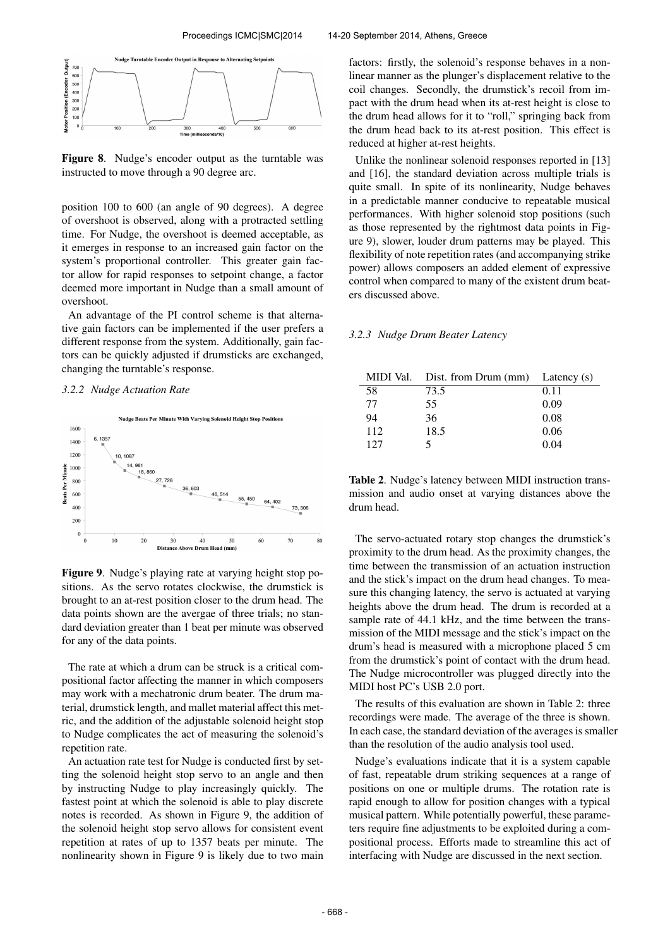

Figure 8. Nudge's encoder output as the turntable was instructed to move through a 90 degree arc.

position 100 to 600 (an angle of 90 degrees). A degree of overshoot is observed, along with a protracted settling time. For Nudge, the overshoot is deemed acceptable, as it emerges in response to an increased gain factor on the system's proportional controller. This greater gain factor allow for rapid responses to setpoint change, a factor deemed more important in Nudge than a small amount of overshoot.

An advantage of the PI control scheme is that alternative gain factors can be implemented if the user prefers a different response from the system. Additionally, gain factors can be quickly adjusted if drumsticks are exchanged, changing the turntable's response.

## *3.2.2 Nudge Actuation Rate*



Figure 9. Nudge's playing rate at varying height stop positions. As the servo rotates clockwise, the drumstick is brought to an at-rest position closer to the drum head. The data points shown are the avergae of three trials; no standard deviation greater than 1 beat per minute was observed for any of the data points.

The rate at which a drum can be struck is a critical compositional factor affecting the manner in which composers may work with a mechatronic drum beater. The drum material, drumstick length, and mallet material affect this metric, and the addition of the adjustable solenoid height stop to Nudge complicates the act of measuring the solenoid's repetition rate.

An actuation rate test for Nudge is conducted first by setting the solenoid height stop servo to an angle and then by instructing Nudge to play increasingly quickly. The fastest point at which the solenoid is able to play discrete notes is recorded. As shown in Figure 9, the addition of the solenoid height stop servo allows for consistent event repetition at rates of up to 1357 beats per minute. The nonlinearity shown in Figure 9 is likely due to two main factors: firstly, the solenoid's response behaves in a nonlinear manner as the plunger's displacement relative to the coil changes. Secondly, the drumstick's recoil from impact with the drum head when its at-rest height is close to the drum head allows for it to "roll," springing back from the drum head back to its at-rest position. This effect is reduced at higher at-rest heights.

Unlike the nonlinear solenoid responses reported in [13] and [16], the standard deviation across multiple trials is quite small. In spite of its nonlinearity, Nudge behaves in a predictable manner conducive to repeatable musical performances. With higher solenoid stop positions (such as those represented by the rightmost data points in Figure 9), slower, louder drum patterns may be played. This flexibility of note repetition rates (and accompanying strike power) allows composers an added element of expressive control when compared to many of the existent drum beaters discussed above.

#### *3.2.3 Nudge Drum Beater Latency*

|     | MIDI Val. Dist. from Drum (mm) Latency (s) |      |
|-----|--------------------------------------------|------|
| 58  | 73.5                                       | 0.11 |
| 77  | 55                                         | 0.09 |
| 94  | 36                                         | 0.08 |
| 112 | 18.5                                       | 0.06 |
| 127 |                                            | 0.04 |

Table 2. Nudge's latency between MIDI instruction transmission and audio onset at varying distances above the drum head.

The servo-actuated rotary stop changes the drumstick's proximity to the drum head. As the proximity changes, the time between the transmission of an actuation instruction and the stick's impact on the drum head changes. To measure this changing latency, the servo is actuated at varying heights above the drum head. The drum is recorded at a sample rate of 44.1 kHz, and the time between the transmission of the MIDI message and the stick's impact on the drum's head is measured with a microphone placed 5 cm from the drumstick's point of contact with the drum head. The Nudge microcontroller was plugged directly into the MIDI host PC's USB 2.0 port.

The results of this evaluation are shown in Table 2: three recordings were made. The average of the three is shown. In each case, the standard deviation of the averages is smaller than the resolution of the audio analysis tool used.

Nudge's evaluations indicate that it is a system capable of fast, repeatable drum striking sequences at a range of positions on one or multiple drums. The rotation rate is rapid enough to allow for position changes with a typical musical pattern. While potentially powerful, these parameters require fine adjustments to be exploited during a compositional process. Efforts made to streamline this act of interfacing with Nudge are discussed in the next section.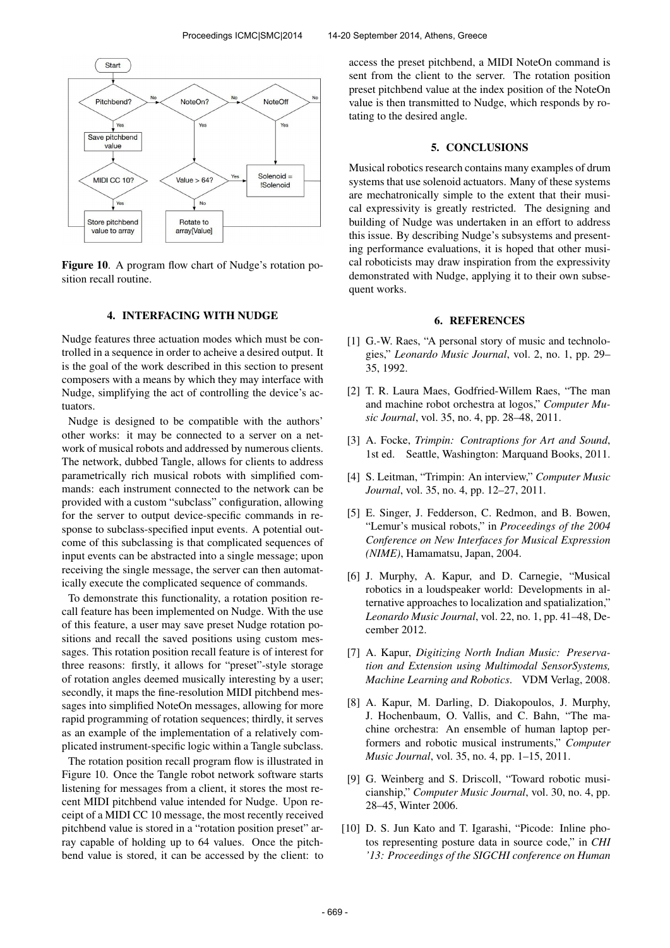

Figure 10. A program flow chart of Nudge's rotation position recall routine.

## 4. INTERFACING WITH NUDGE

Nudge features three actuation modes which must be controlled in a sequence in order to acheive a desired output. It is the goal of the work described in this section to present composers with a means by which they may interface with Nudge, simplifying the act of controlling the device's actuators.

Nudge is designed to be compatible with the authors' other works: it may be connected to a server on a network of musical robots and addressed by numerous clients. The network, dubbed Tangle, allows for clients to address parametrically rich musical robots with simplified commands: each instrument connected to the network can be provided with a custom "subclass" configuration, allowing for the server to output device-specific commands in response to subclass-specified input events. A potential outcome of this subclassing is that complicated sequences of input events can be abstracted into a single message; upon receiving the single message, the server can then automatically execute the complicated sequence of commands.

To demonstrate this functionality, a rotation position recall feature has been implemented on Nudge. With the use of this feature, a user may save preset Nudge rotation positions and recall the saved positions using custom messages. This rotation position recall feature is of interest for three reasons: firstly, it allows for "preset"-style storage of rotation angles deemed musically interesting by a user; secondly, it maps the fine-resolution MIDI pitchbend messages into simplified NoteOn messages, allowing for more rapid programming of rotation sequences; thirdly, it serves as an example of the implementation of a relatively complicated instrument-specific logic within a Tangle subclass.

The rotation position recall program flow is illustrated in Figure 10. Once the Tangle robot network software starts listening for messages from a client, it stores the most recent MIDI pitchbend value intended for Nudge. Upon receipt of a MIDI CC 10 message, the most recently received pitchbend value is stored in a "rotation position preset" array capable of holding up to 64 values. Once the pitchbend value is stored, it can be accessed by the client: to access the preset pitchbend, a MIDI NoteOn command is sent from the client to the server. The rotation position preset pitchbend value at the index position of the NoteOn value is then transmitted to Nudge, which responds by rotating to the desired angle.

#### 5. CONCLUSIONS

Musical robotics research contains many examples of drum systems that use solenoid actuators. Many of these systems are mechatronically simple to the extent that their musical expressivity is greatly restricted. The designing and building of Nudge was undertaken in an effort to address this issue. By describing Nudge's subsystems and presenting performance evaluations, it is hoped that other musical roboticists may draw inspiration from the expressivity demonstrated with Nudge, applying it to their own subsequent works.

## 6. REFERENCES

- [1] G.-W. Raes, "A personal story of music and technologies," *Leonardo Music Journal*, vol. 2, no. 1, pp. 29– 35, 1992.
- [2] T. R. Laura Maes, Godfried-Willem Raes, "The man and machine robot orchestra at logos," *Computer Music Journal*, vol. 35, no. 4, pp. 28–48, 2011.
- [3] A. Focke, *Trimpin: Contraptions for Art and Sound*, 1st ed. Seattle, Washington: Marquand Books, 2011.
- [4] S. Leitman, "Trimpin: An interview," *Computer Music Journal*, vol. 35, no. 4, pp. 12–27, 2011.
- [5] E. Singer, J. Fedderson, C. Redmon, and B. Bowen, "Lemur's musical robots," in *Proceedings of the 2004 Conference on New Interfaces for Musical Expression (NIME)*, Hamamatsu, Japan, 2004.
- [6] J. Murphy, A. Kapur, and D. Carnegie, "Musical robotics in a loudspeaker world: Developments in alternative approaches to localization and spatialization," *Leonardo Music Journal*, vol. 22, no. 1, pp. 41–48, December 2012.
- [7] A. Kapur, *Digitizing North Indian Music: Preservation and Extension using Multimodal SensorSystems, Machine Learning and Robotics*. VDM Verlag, 2008.
- [8] A. Kapur, M. Darling, D. Diakopoulos, J. Murphy, J. Hochenbaum, O. Vallis, and C. Bahn, "The machine orchestra: An ensemble of human laptop performers and robotic musical instruments," *Computer Music Journal*, vol. 35, no. 4, pp. 1–15, 2011.
- [9] G. Weinberg and S. Driscoll, "Toward robotic musicianship," *Computer Music Journal*, vol. 30, no. 4, pp. 28–45, Winter 2006.
- [10] D. S. Jun Kato and T. Igarashi, "Picode: Inline photos representing posture data in source code," in *CHI '13: Proceedings of the SIGCHI conference on Human*